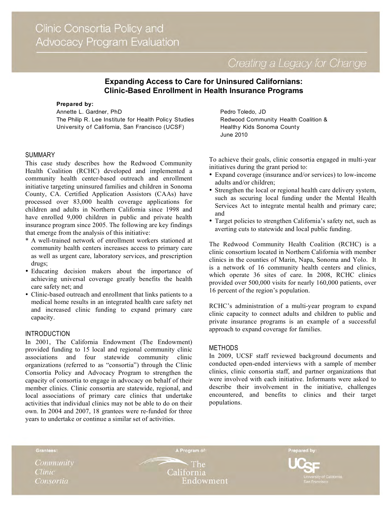Creating a Legacy for Change

# **Expanding Access to Care for Uninsured Californians: Clinic-Based Enrollment in Health Insurance Programs**

#### **Prepared by:**

Annette L. Gardner, PhD The Philip R. Lee Institute for Health Policy Studies University of California, San Francisco (UCSF)

## SUMMARY

This case study describes how the Redwood Community Health Coalition (RCHC) developed and implemented a community health center-based outreach and enrollment initiative targeting uninsured families and children in Sonoma County, CA. Certified Application Assistors (CAAs) have processed over 83,000 health coverage applications for children and adults in Northern California since 1998 and have enrolled 9,000 children in public and private health insurance program since 2005. The following are key findings that emerge from the analysis of this initiative:

- \* A well-trained network of enrollment workers stationed at community health centers increases access to primary care as well as urgent care, laboratory services, and prescription drugs;
- Educating decision makers about the importance of achieving universal coverage greatly benefits the health care safety net; and
- Clinic-based outreach and enrollment that links patients to a medical home results in an integrated health care safety net and increased clinic funding to expand primary care capacity.

## INTRODUCTION

In 2001, The California Endowment (The Endowment) provided funding to 15 local and regional community clinic associations and four statewide community clinic organizations (referred to as "consortia") through the Clinic Consortia Policy and Advocacy Program to strengthen the capacity of consortia to engage in advocacy on behalf of their member clinics. Clinic consortia are statewide, regional, and local associations of primary care clinics that undertake activities that individual clinics may not be able to do on their own. In 2004 and 2007, 18 grantees were re-funded for three years to undertake or continue a similar set of activities.

Pedro Toledo, JD Redwood Community Health Coalition & Healthy Kids Sonoma County June 2010

To achieve their goals, clinic consortia engaged in multi-year initiatives during the grant period to:

- Expand coverage (insurance and/or services) to low-income adults and/or children;
- Strengthen the local or regional health care delivery system, such as securing local funding under the Mental Health Services Act to integrate mental health and primary care; and
- Target policies to strengthen California's safety net, such as averting cuts to statewide and local public funding.

The Redwood Community Health Coalition (RCHC) is a clinic consortium located in Northern California with member clinics in the counties of Marin, Napa, Sonoma and Yolo. It is a network of 16 community health centers and clinics, which operate 36 sites of care. In 2008, RCHC clinics provided over 500,000 visits for nearly 160,000 patients, over 16 percent of the region's population.

RCHC's administration of a multi-year program to expand clinic capacity to connect adults and children to public and private insurance programs is an example of a successful approach to expand coverage for families.

## METHODS

In 2009, UCSF staff reviewed background documents and conducted open-ended interviews with a sample of member clinics, clinic consortia staff, and partner organizations that were involved with each initiative. Informants were asked to describe their involvement in the initiative, challenges encountered, and benefits to clinics and their target populations.

Grantees:

Community **Clinic** Consortia

A Program of:

**The** California Endowment Prepared by: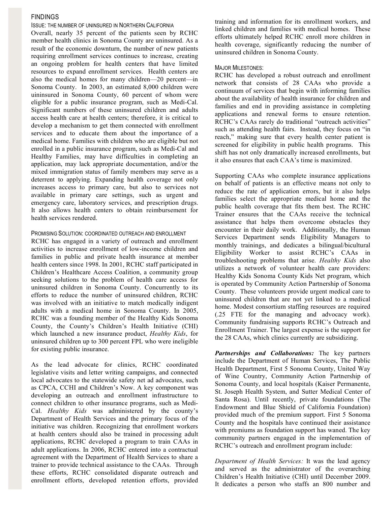## FINDINGS

ISSUE: THE NUMBER OF UNINSURED IN NORTHERN CALIFORNIA

Overall, nearly 35 percent of the patients seen by RCHC member health clinics in Sonoma County are uninsured. As a result of the economic downturn, the number of new patients requiring enrollment services continues to increase, creating an ongoing problem for health centers that have limited resources to expand enrollment services. Health centers are also the medical homes for many children—20 percent—in Sonoma County. In 2003, an estimated 8,000 children were uininsured in Sonoma County, 60 percent of whom were eligible for a public insurance program, such as Medi-Cal. Significant numbers of these uninsured children and adults access health care at health centers; therefore, it is critical to develop a mechanism to get them connected with enrollment services and to educate them about the importance of a medical home. Families with children who are eligible but not enrolled in a public insurance program, such as Medi-Cal and Healthy Families, may have difficulties in completing an application, may lack appropriate documentation, and/or the mixed immigration status of family members may serve as a deterrent to applying. Expanding health coverage not only increases access to primary care, but also to services not available in primary care settings, such as urgent and emergency care, laboratory services, and prescription drugs. It also allows health centers to obtain reimbursement for health services rendered.

#### PROMISING SOLUTION: COORDINATED OUTREACH AND ENROLLMENT

RCHC has engaged in a variety of outreach and enrollment activities to increase enrollment of low-income children and families in public and private health insurance at member health centers since 1998. In 2001, RCHC staff participated in Children's Healthcare Access Coalition, a community group seeking solutions to the problem of health care access for uninsured children in Sonoma County. Concurrently to its efforts to reduce the number of uninsured children, RCHC was involved with an initiative to match medically indigent adults with a medical home in Sonoma County. In 2005, RCHC was a founding member of the Healthy Kids Sonoma County, the County's Children's Health Initiative (CHI) which launched a new insurance product, *Healthy Kids*, for uninsured children up to 300 percent FPL who were ineligible for existing public insurance.

As the lead advocate for clinics, RCHC coordinated legislative visits and letter writing campaigns, and connected local advocates to the statewide safety net ad advocates, such as CPCA, CCHI and Children's Now. A key component was developing an outreach and enrollment infrastructure to connect children to other insurance programs, such as Medi-Cal. *Healthy Kids* was administered by the county's Department of Health Services and the primary focus of the initiative was children. Recognizing that enrollment workers at health centers should also be trained in processing adult applications, RCHC developed a program to train CAAs in adult applications. In 2006, RCHC entered into a contractual agreement with the Department of Health Services to share a trainer to provide technical assistance to the CAAs. Through these efforts, RCHC consolidated disparate outreach and enrollment efforts, developed retention efforts, provided training and information for its enrollment workers, and linked children and families with medical homes. These efforts ultimately helped RCHC enroll more children in health coverage, significantly reducing the number of uninsured children in Sonoma County.

#### MAJOR MILESTONES:

RCHC has developed a robust outreach and enrollment network that consists of 28 CAAs who provide a continuum of services that begin with informing families about the availability of health insurance for children and families and end in providing assistance in completing applications and renewal forms to ensure retention. RCHC's CAAs rarely do traditional "outreach activities" such as attending health fairs. Instead, they focus on "in reach," making sure that every health center patient is screened for eligibility in public health programs. This shift has not only dramatically increased enrollments, but it also ensures that each CAA's time is maximized.

Supporting CAAs who complete insurance applications on behalf of patients is an effective means not only to reduce the rate of application errors, but it also helps families select the appropriate medical home and the public health coverage that fits them best. The RCHC Trainer ensures that the CAAs receive the technical assistance that helps them overcome obstacles they encounter in their daily work. Additionally, the Human Services Department sends Eligibility Managers to monthly trainings, and dedicates a bilingual/bicultural Eligibility Worker to assist RCHC's CAAs in troubleshooting problems that arise. *Healthy Kids* also utilizes a network of volunteer health care providers: Healthy Kids Sonoma County Kids Net program, which is operated by Community Action Partnership of Sonoma County. These volunteers provide urgent medical care to uninsured children that are not yet linked to a medical home. Modest consortium staffing resources are required (.25 FTE for the managing and advocacy work). Community fundraising supports RCHC's Outreach and Enrollment Trainer. The largest expense is the support for the 28 CAAs, which clinics currently are subsidizing.

*Partnerships and Collaborations:* The key partners include the Department of Human Services, The Public Health Department, First 5 Sonoma County, United Way of Wine Country, Community Action Partnership of Sonoma County, and local hospitals (Kaiser Permanente, St. Joseph Health System, and Sutter Medical Center of Santa Rosa). Until recently, private foundations (The Endowment and Blue Shield of California Foundation) provided much of the premium support. First 5 Sonoma County and the hospitals have continued their assistance with premiums as foundation support has waned. The key community partners engaged in the implementation of RCHC's outreach and enrollment program include:

*Department of Health Services:* It was the lead agency and served as the administrator of the overarching Children's Health Initiative (CHI) until December 2009. It dedicates a person who staffs an 800 number and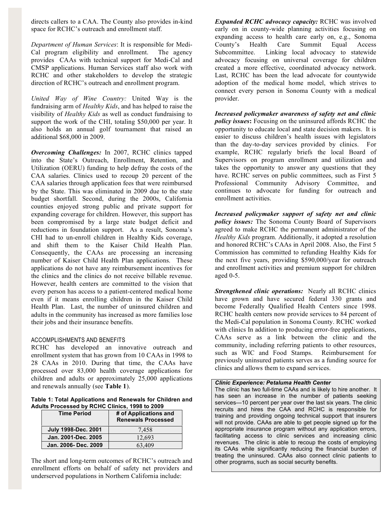directs callers to a CAA. The County also provides in-kind space for RCHC's outreach and enrollment staff.

*Department of Human Services*: It is responsible for Medi-Cal program eligibility and enrollment. The agency provides CAAs with technical support for Medi-Cal and CMSP applications. Human Services staff also work with RCHC and other stakeholders to develop the strategic direction of RCHC's outreach and enrollment program.

*United Way of Wine Country:* United Way is the fundraising arm of *Healthy Kids*, and has helped to raise the visibility of *Healthy Kids* as well as conduct fundraising to support the work of the CHI, totaling \$50,000 per year. It also holds an annual golf tournament that raised an additional \$68,000 in 2009.

*Overcoming Challenges:* In 2007, RCHC clinics tapped into the State's Outreach, Enrollment, Retention, and Utilization (OERU) funding to help defray the costs of the CAA salaries. Clinics used to recoup 20 percent of the CAA salaries through application fees that were reimbursed by the State. This was eliminated in 2009 due to the state budget shortfall. Second, during the 2000s, California counties enjoyed strong public and private support for expanding coverage for children. However, this support has been compromised by a large state budget deficit and reductions in foundation support. As a result, Sonoma's CHI had to un-enroll children in Healthy Kids coverage, and shift them to the Kaiser Child Health Plan. Consequently, the CAAs are processing an increasing number of Kaiser Child Health Plan applications. These applications do not have any reimbursement incentives for the clinics and the clinics do not receive billable revenue. However, health centers are committed to the vision that every person has access to a patient-centered medical home even if it means enrolling children in the Kaiser Child Health Plan. Last, the number of uninsured children and adults in the community has increased as more families lose their jobs and their insurance benefits.

## ACCOMPLISHMENTS AND BENEFITS

RCHC has developed an innovative outreach and enrollment system that has grown from 10 CAAs in 1998 to 28 CAAs in 2010. During that time, the CAAs have processed over 83,000 health coverage applications for children and adults or approximately 25,000 applications and renewals annually (see **Table 1**).

**Table 1: Total Applications and Renewals for Children and Adults Processed by RCHC Clinics, 1998 to 2009** 

| <b>Time Period</b>         | # of Applications and<br><b>Renewals Processed</b> |
|----------------------------|----------------------------------------------------|
| <b>July 1998-Dec. 2001</b> | 7.458                                              |
| Jan. 2001-Dec. 2005        | 12.693                                             |
| Jan. 2006- Dec. 2009       | 409                                                |

The short and long-term outcomes of RCHC's outreach and enrollment efforts on behalf of safety net providers and underserved populations in Northern California include:

*Expanded RCHC advocacy capacity:* RCHC was involved early on in county-wide planning activities focusing on expanding access to health care early on, e.g., Sonoma County's Health Care Summit Equal Access Subcommittee. Linking local advocacy to statewide advocacy focusing on universal coverage for children created a more effective, coordinated advocacy network. Last, RCHC has been the lead advocate for countywide adoption of the medical home model, which strives to connect every person in Sonoma County with a medical provider.

*Increased policymaker awareness of safety net and clinic policy issues***:** Focusing on the uninsured affords RCHC the opportunity to educate local and state decision makers. It is easier to discuss children's health issues with legislators than the day-to-day services provided by clinics. For example, RCHC regularly briefs the local Board of Supervisors on program enrollment and utilization and takes the opportunity to answer any questions that they have. RCHC serves on public committees, such as First 5 Professional Community Advisory Committee, and continues to advocate for funding for outreach and enrollment activities.

*Increased policymaker support of safety net and clinic policy issues:* The Sonoma County Board of Supervisors agreed to make RCHC the permanent administrator of the *Healthy Kids* program. Additionally, it adopted a resolution and honored RCHC's CAAs in April 2008. Also, the First 5 Commission has committed to refunding Healthy Kids for the next five years, providing \$590,000/year for outreach and enrollment activities and premium support for children aged 0-5.

*Strengthened clinic operations:* Nearly all RCHC clinics have grown and have secured federal 330 grants and become Federally Qualified Health Centers since 1998. RCHC health centers now provide services to 84 percent of the Medi-Cal population in Sonoma County. RCHC worked with clinics In addition to producing error-free applications, CAAs serve as a link between the clinic and the community, including referring patients to other resources, such as WIC and Food Stamps. Reimbursement for previously uninsured patients serves as a funding source for clinics and allows them to expand services.

#### *Clinic Experience: Petaluma Health Center*

The clinic has two full-time CAAs and is likely to hire another. It has seen an increase in the number of patients seeking services—10 percent per year over the last six years. The clinic recruits and hires the CAA and RCHC is responsible for training and providing ongoing technical support that insurers will not provide. CAAs are able to get people signed up for the appropriate insurance program without any application errors, facilitating access to clinic services and increasing clinic revenues. The clinic is able to recoup the costs of employing its CAAs while significantly reducing the financial burden of treating the uninsured. CAAs also connect clinic patients to other programs, such as social security benefits.